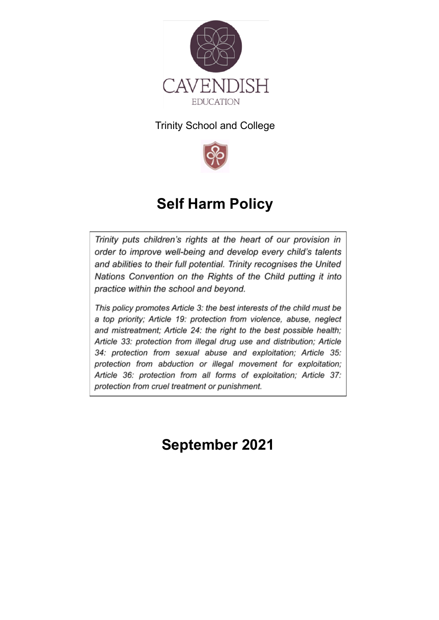

### Trinity School and College



# **Self Harm Policy**

Trinity puts children's rights at the heart of our provision in order to improve well-being and develop every child's talents and abilities to their full potential. Trinity recognises the United Nations Convention on the Rights of the Child putting it into practice within the school and beyond.

This policy promotes Article 3: the best interests of the child must be a top priority; Article 19: protection from violence, abuse, neglect and mistreatment; Article 24: the right to the best possible health; Article 33: protection from illegal drug use and distribution; Article 34: protection from sexual abuse and exploitation; Article 35: protection from abduction or illegal movement for exploitation; Article 36: protection from all forms of exploitation; Article 37: protection from cruel treatment or punishment.

**September 2021**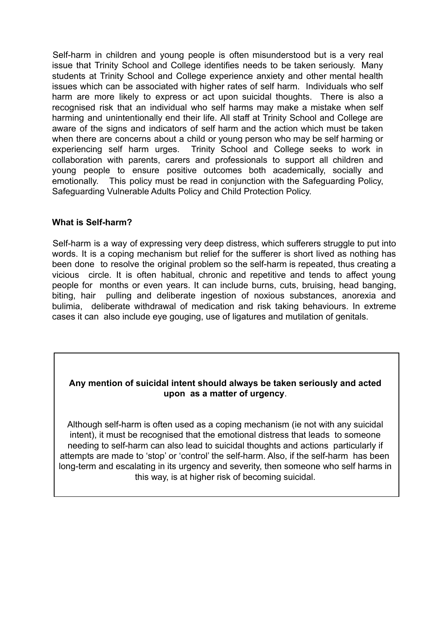Self-harm in children and young people is often misunderstood but is a very real issue that Trinity School and College identifies needs to be taken seriously. Many students at Trinity School and College experience anxiety and other mental health issues which can be associated with higher rates of self harm. Individuals who self harm are more likely to express or act upon suicidal thoughts. There is also a recognised risk that an individual who self harms may make a mistake when self harming and unintentionally end their life. All staff at Trinity School and College are aware of the signs and indicators of self harm and the action which must be taken when there are concerns about a child or young person who may be self harming or experiencing self harm urges. Trinity School and College seeks to work in collaboration with parents, carers and professionals to support all children and young people to ensure positive outcomes both academically, socially and emotionally. This policy must be read in conjunction with the Safeguarding Policy, Safeguarding Vulnerable Adults Policy and Child Protection Policy.

#### **What is Self-harm?**

Self-harm is a way of expressing very deep distress, which sufferers struggle to put into words. It is a coping mechanism but relief for the sufferer is short lived as nothing has been done to resolve the original problem so the self-harm is repeated, thus creating a vicious circle. It is often habitual, chronic and repetitive and tends to affect young people for months or even years. It can include burns, cuts, bruising, head banging, biting, hair pulling and deliberate ingestion of noxious substances, anorexia and bulimia, deliberate withdrawal of medication and risk taking behaviours. In extreme cases it can also include eye gouging, use of ligatures and mutilation of genitals.

#### **Any mention of suicidal intent should always be taken seriously and acted upon as a matter of urgency**.

Although self-harm is often used as a coping mechanism (ie not with any suicidal intent), it must be recognised that the emotional distress that leads to someone needing to self-harm can also lead to suicidal thoughts and actions particularly if attempts are made to 'stop' or 'control' the self-harm. Also, if the self-harm has been long-term and escalating in its urgency and severity, then someone who self harms in this way, is at higher risk of becoming suicidal.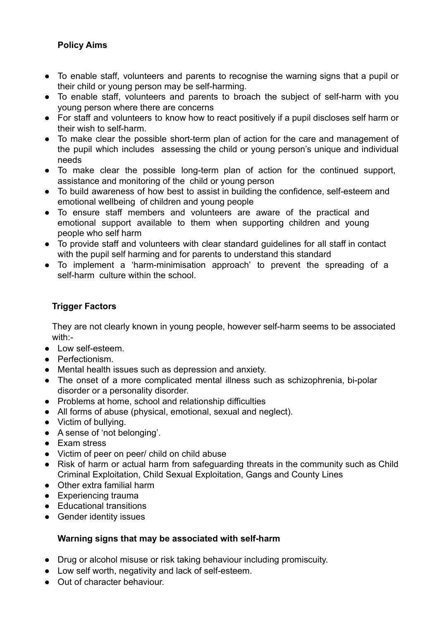#### **Policy Aims**

- To enable staff, volunteers and parents to recognise the warning signs that a pupil or their child or young person may be self-harming.
- To enable staff, volunteers and parents to broach the subject of self-harm with you young person where there are concerns
- For staff and volunteers to know how to react positively if a pupil discloses self harm or their wish to self-harm.
- To make clear the possible short-term plan of action for the care and management of the pupil which includes assessing the child or young person's unique and individual needs
- To make clear the possible long-term plan of action for the continued support, assistance and monitoring of the child or young person
- To build awareness of how best to assist in building the confidence, self-esteem and emotional wellbeing of children and young people
- To ensure staff members and volunteers are aware of the practical and emotional support available to them when supporting children and young people who self harm
- To provide staff and volunteers with clear standard guidelines for all staff in contact with the pupil self harming and for parents to understand this standard
- To implement a 'harm-minimisation approach' to prevent the spreading of a self-harm culture within the school

#### **Trigger Factors**

They are not clearly known in young people, however self-harm seems to be associated with:-

- Low self-esteem.
- Perfectionism.
- Mental health issues such as depression and anxiety.
- The onset of a more complicated mental illness such as schizophrenia, bi-polar disorder or a personality disorder.
- Problems at home, school and relationship difficulties
- All forms of abuse (physical, emotional, sexual and neglect).
- Victim of bullying.
- A sense of 'not belonging'.
- Exam stress
- Victim of peer on peer/ child on child abuse
- Risk of harm or actual harm from safeguarding threats in the community such as Child Criminal Exploitation, Child Sexual Exploitation, Gangs and County Lines
- Other extra familial harm
- Experiencing trauma
- Educational transitions
- Gender identity issues

#### **Warning signs that may be associated with self-harm**

- Drug or alcohol misuse or risk taking behaviour including promiscuity.
- Low self worth, negativity and lack of self-esteem.
- Out of character behaviour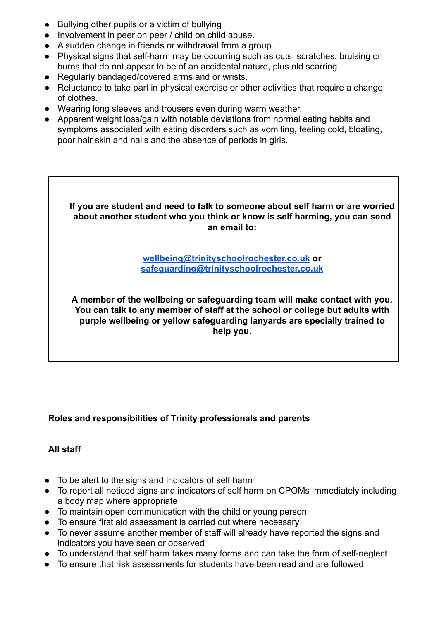- Bullying other pupils or a victim of bullying
- Involvement in peer on peer / child on child abuse.
- A sudden change in friends or withdrawal from a group.
- Physical signs that self-harm may be occurring such as cuts, scratches, bruising or burns that do not appear to be of an accidental nature, plus old scarring.
- Regularly bandaged/covered arms and or wrists.
- Reluctance to take part in physical exercise or other activities that require a change of clothes.
- Wearing long sleeves and trousers even during warm weather.
- Apparent weight loss/gain with notable deviations from normal eating habits and symptoms associated with eating disorders such as vomiting, feeling cold, bloating, poor hair skin and nails and the absence of periods in girls.

**If you are student and need to talk to someone about self harm or are worried about another student who you think or know is self harming, you can send an email to:**

> **[wellbeing@trinityschoolrochester.co.uk](mailto:wellbeing@trinityschoolrochester.co.uk) or [safeguarding@trinityschoolrochester.co.uk](mailto:safeguarding@trinityschoolrochester.co.uk)**

**A member of the wellbeing or safeguarding team will make contact with you. You can talk to any member of staff at the school or college but adults with purple wellbeing or yellow safeguarding lanyards are specially trained to help you.**

#### **Roles and responsibilities of Trinity professionals and parents**

#### **All staff**

- To be alert to the signs and indicators of self harm
- To report all noticed signs and indicators of self harm on CPOMs immediately including a body map where appropriate
- To maintain open communication with the child or young person
- To ensure first aid assessment is carried out where necessary
- To never assume another member of staff will already have reported the signs and indicators you have seen or observed
- To understand that self harm takes many forms and can take the form of self-neglect
- To ensure that risk assessments for students have been read and are followed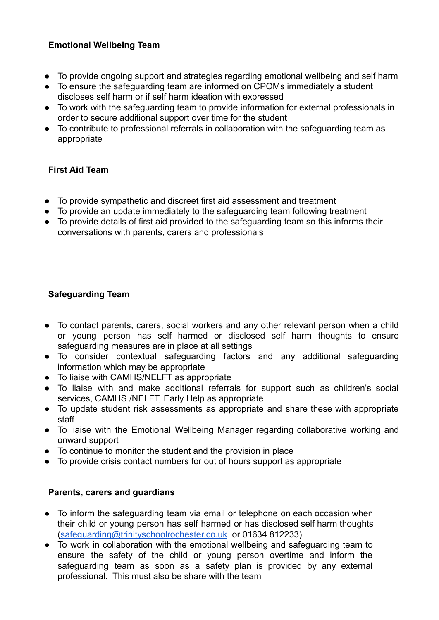#### **Emotional Wellbeing Team**

- To provide ongoing support and strategies regarding emotional wellbeing and self harm
- To ensure the safeguarding team are informed on CPOMs immediately a student discloses self harm or if self harm ideation with expressed
- To work with the safeguarding team to provide information for external professionals in order to secure additional support over time for the student
- To contribute to professional referrals in collaboration with the safeguarding team as appropriate

#### **First Aid Team**

- To provide sympathetic and discreet first aid assessment and treatment
- To provide an update immediately to the safeguarding team following treatment
- To provide details of first aid provided to the safeguarding team so this informs their conversations with parents, carers and professionals

#### **Safeguarding Team**

- To contact parents, carers, social workers and any other relevant person when a child or young person has self harmed or disclosed self harm thoughts to ensure safeguarding measures are in place at all settings
- To consider contextual safeguarding factors and any additional safeguarding information which may be appropriate
- To liaise with CAMHS/NELFT as appropriate
- To liaise with and make additional referrals for support such as children's social services, CAMHS /NELFT, Early Help as appropriate
- To update student risk assessments as appropriate and share these with appropriate staff
- To liaise with the Emotional Wellbeing Manager regarding collaborative working and onward support
- To continue to monitor the student and the provision in place
- To provide crisis contact numbers for out of hours support as appropriate

#### **Parents, carers and guardians**

- To inform the safeguarding team via email or telephone on each occasion when their child or young person has self harmed or has disclosed self harm thoughts [\(safeguarding@trinityschoolrochester.co.uk](mailto:safeguarding@trinityschoolrochester.co.uk) or 01634 812233)
- To work in collaboration with the emotional wellbeing and safeguarding team to ensure the safety of the child or young person overtime and inform the safeguarding team as soon as a safety plan is provided by any external professional. This must also be share with the team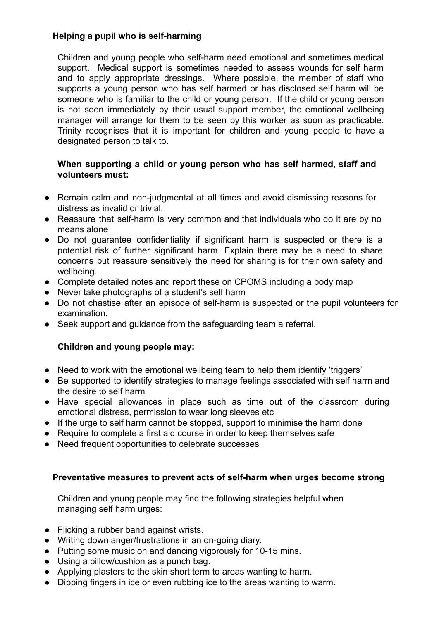#### **Helping a pupil who is self-harming**

Children and young people who self-harm need emotional and sometimes medical support. Medical support is sometimes needed to assess wounds for self harm and to apply appropriate dressings. Where possible, the member of staff who supports a young person who has self harmed or has disclosed self harm will be someone who is familiar to the child or young person. If the child or young person is not seen immediately by their usual support member, the emotional wellbeing manager will arrange for them to be seen by this worker as soon as practicable. Trinity recognises that it is important for children and young people to have a designated person to talk to.

#### **When supporting a child or young person who has self harmed, staff and volunteers must:**

- Remain calm and non-judgmental at all times and avoid dismissing reasons for distress as invalid or trivial.
- Reassure that self-harm is very common and that individuals who do it are by no means alone
- Do not guarantee confidentiality if significant harm is suspected or there is a potential risk of further significant harm. Explain there may be a need to share concerns but reassure sensitively the need for sharing is for their own safety and wellbeing.
- Complete detailed notes and report these on CPOMS including a body map
- Never take photographs of a student's self harm
- Do not chastise after an episode of self-harm is suspected or the pupil volunteers for examination.
- Seek support and guidance from the safeguarding team a referral.

#### **Children and young people may:**

- Need to work with the emotional wellbeing team to help them identify 'triggers'
- Be supported to identify strategies to manage feelings associated with self harm and the desire to self harm
- Have special allowances in place such as time out of the classroom during emotional distress, permission to wear long sleeves etc
- If the urge to self harm cannot be stopped, support to minimise the harm done
- Require to complete a first aid course in order to keep themselves safe
- Need frequent opportunities to celebrate successes

#### **Preventative measures to prevent acts of self-harm when urges become strong**

Children and young people may find the following strategies helpful when managing self harm urges:

- Flicking a rubber band against wrists.
- Writing down anger/frustrations in an on-going diary.
- Putting some music on and dancing vigorously for 10-15 mins.
- Using a pillow/cushion as a punch bag.
- Applying plasters to the skin short term to areas wanting to harm.
- Dipping fingers in ice or even rubbing ice to the areas wanting to warm.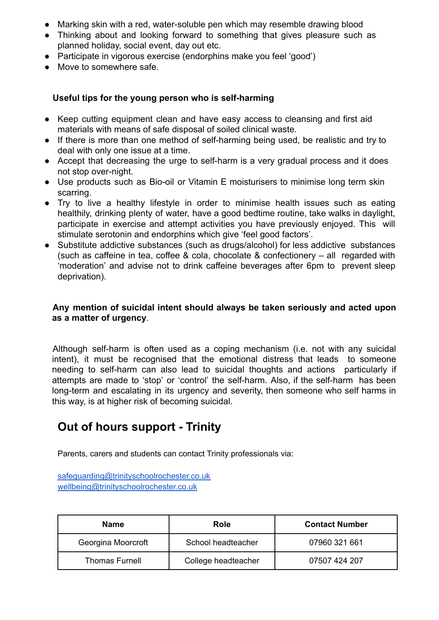- Marking skin with a red, water-soluble pen which may resemble drawing blood
- Thinking about and looking forward to something that gives pleasure such as planned holiday, social event, day out etc.
- Participate in vigorous exercise (endorphins make you feel 'good')
- Move to somewhere safe.

#### **Useful tips for the young person who is self-harming**

- Keep cutting equipment clean and have easy access to cleansing and first aid materials with means of safe disposal of soiled clinical waste.
- If there is more than one method of self-harming being used, be realistic and try to deal with only one issue at a time.
- Accept that decreasing the urge to self-harm is a very gradual process and it does not stop over-night.
- Use products such as Bio-oil or Vitamin E moisturisers to minimise long term skin scarring.
- Try to live a healthy lifestyle in order to minimise health issues such as eating healthily, drinking plenty of water, have a good bedtime routine, take walks in daylight, participate in exercise and attempt activities you have previously enjoyed. This will stimulate serotonin and endorphins which give 'feel good factors'.
- Substitute addictive substances (such as drugs/alcohol) for less addictive substances (such as caffeine in tea, coffee & cola, chocolate & confectionery – all regarded with 'moderation' and advise not to drink caffeine beverages after 6pm to prevent sleep deprivation).

#### **Any mention of suicidal intent should always be taken seriously and acted upon as a matter of urgency**.

Although self-harm is often used as a coping mechanism (i.e. not with any suicidal intent), it must be recognised that the emotional distress that leads to someone needing to self-harm can also lead to suicidal thoughts and actions particularly if attempts are made to 'stop' or 'control' the self-harm. Also, if the self-harm has been long-term and escalating in its urgency and severity, then someone who self harms in this way, is at higher risk of becoming suicidal.

## **Out of hours support - Trinity**

Parents, carers and students can contact Trinity professionals via:

[safeguarding@trinityschoolrochester.co.uk](mailto:safeguarding@trinityschoolrochester.co.uk) [wellbeing@trinityschoolrochester.co.uk](mailto:wellbeing@trinityschoolrochester.co.uk)

| <b>Name</b>           | Role                | <b>Contact Number</b> |
|-----------------------|---------------------|-----------------------|
| Georgina Moorcroft    | School headteacher  | 07960 321 661         |
| <b>Thomas Furnell</b> | College headteacher | 07507 424 207         |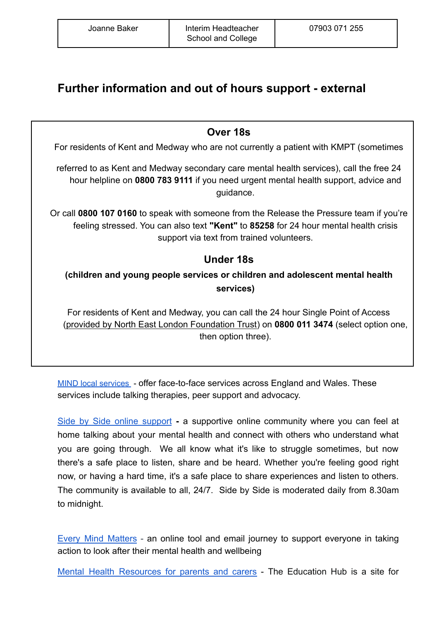# **Further information and out of hours support - external**

**Over 18s**

For residents of Kent and Medway who are not currently a patient with KMPT (sometimes

referred to as Kent and Medway secondary care mental health services), call the free 24 hour helpline on **0800 783 9111** if you need urgent mental health support, advice and guidance.

Or call **0800 107 0160** to speak with someone from the Release the Pressure team if you're feeling stressed. You can also text **"Kent"** to **85258** for 24 hour mental health crisis support via text from trained volunteers.

### **Under 18s**

**(children and young people services or children and adolescent mental health services)**

For residents of Kent and Medway, you can call the 24 hour Single Point of Access ([provided by North East London Foundation Trust\)](https://www.nelft.nhs.uk/services-kent-medway) on **0800 011 3474** (select option one, then option three).

MIND local [services](https://www.mind.org.uk/about-us/local-minds/) - offer face-to-face services across England and Wales. These services include talking therapies, peer support and advocacy.

Side by Side online [support](https://www.mind.org.uk/information-support/side-by-side-our-online-community/) **-** a supportive online community where you can feel at home talking about your mental health and connect with others who understand what you are going through. We all know what it's like to struggle sometimes, but now there's a safe place to listen, share and be heard. Whether you're feeling good right now, or having a hard time, it's a safe place to share experiences and listen to others. The community is available to all, 24/7. Side by Side is moderated daily from 8.30am to midnight.

Every Mind [Matters](https://www.nhs.uk/every-mind-matters/) - an online tool and email journey to support everyone in taking action to look after their mental health and wellbeing

Mental Health [Resources](https://educationhub.blog.gov.uk/2021/02/01/mental-health-resources-for-children-parents-carers-and-school-staff/) for parents and carers - The Education Hub is a site for